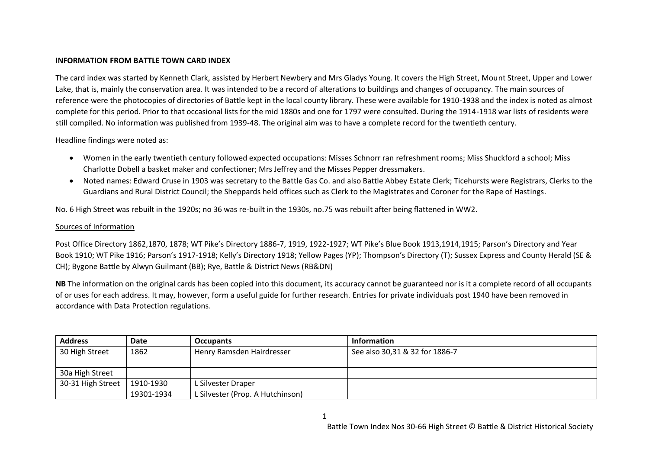## **INFORMATION FROM BATTLE TOWN CARD INDEX**

The card index was started by Kenneth Clark, assisted by Herbert Newbery and Mrs Gladys Young. It covers the High Street, Mount Street, Upper and Lower Lake, that is, mainly the conservation area. It was intended to be a record of alterations to buildings and changes of occupancy. The main sources of reference were the photocopies of directories of Battle kept in the local county library. These were available for 1910-1938 and the index is noted as almost complete for this period. Prior to that occasional lists for the mid 1880s and one for 1797 were consulted. During the 1914-1918 war lists of residents were still compiled. No information was published from 1939-48. The original aim was to have a complete record for the twentieth century.

Headline findings were noted as:

- Women in the early twentieth century followed expected occupations: Misses Schnorr ran refreshment rooms; Miss Shuckford a school; Miss Charlotte Dobell a basket maker and confectioner; Mrs Jeffrey and the Misses Pepper dressmakers.
- Noted names: Edward Cruse in 1903 was secretary to the Battle Gas Co. and also Battle Abbey Estate Clerk; Ticehursts were Registrars, Clerks to the Guardians and Rural District Council; the Sheppards held offices such as Clerk to the Magistrates and Coroner for the Rape of Hastings.

No. 6 High Street was rebuilt in the 1920s; no 36 was re-built in the 1930s, no.75 was rebuilt after being flattened in WW2.

## Sources of Information

Post Office Directory 1862,1870, 1878; WT Pike's Directory 1886-7, 1919, 1922-1927; WT Pike's Blue Book 1913,1914,1915; Parson's Directory and Year Book 1910; WT Pike 1916; Parson's 1917-1918; Kelly's Directory 1918; Yellow Pages (YP); Thompson's Directory (T); Sussex Express and County Herald (SE & CH); Bygone Battle by Alwyn Guilmant (BB); Rye, Battle & District News (RB&DN)

**NB** The information on the original cards has been copied into this document, its accuracy cannot be guaranteed nor is it a complete record of all occupants of or uses for each address. It may, however, form a useful guide for further research. Entries for private individuals post 1940 have been removed in accordance with Data Protection regulations.

| <b>Address</b>    | Date       | <b>Occupants</b>                 | <b>Information</b>             |
|-------------------|------------|----------------------------------|--------------------------------|
| 30 High Street    | 1862       | Henry Ramsden Hairdresser        | See also 30,31 & 32 for 1886-7 |
|                   |            |                                  |                                |
| 30a High Street   |            |                                  |                                |
| 30-31 High Street | 1910-1930  | L Silvester Draper               |                                |
|                   | 19301-1934 | L Silvester (Prop. A Hutchinson) |                                |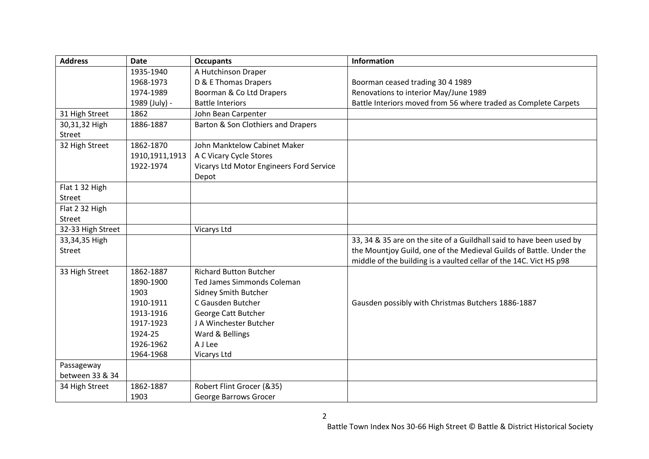| <b>Address</b>    | <b>Date</b>    | <b>Occupants</b>                         | <b>Information</b>                                                   |
|-------------------|----------------|------------------------------------------|----------------------------------------------------------------------|
|                   | 1935-1940      | A Hutchinson Draper                      |                                                                      |
|                   | 1968-1973      | D & E Thomas Drapers                     | Boorman ceased trading 30 4 1989                                     |
|                   | 1974-1989      | Boorman & Co Ltd Drapers                 | Renovations to interior May/June 1989                                |
|                   | 1989 (July) -  | <b>Battle Interiors</b>                  | Battle Interiors moved from 56 where traded as Complete Carpets      |
| 31 High Street    | 1862           | John Bean Carpenter                      |                                                                      |
| 30,31,32 High     | 1886-1887      | Barton & Son Clothiers and Drapers       |                                                                      |
| Street            |                |                                          |                                                                      |
| 32 High Street    | 1862-1870      | John Manktelow Cabinet Maker             |                                                                      |
|                   | 1910,1911,1913 | A C Vicary Cycle Stores                  |                                                                      |
|                   | 1922-1974      | Vicarys Ltd Motor Engineers Ford Service |                                                                      |
|                   |                | Depot                                    |                                                                      |
| Flat 1 32 High    |                |                                          |                                                                      |
| Street            |                |                                          |                                                                      |
| Flat 2 32 High    |                |                                          |                                                                      |
| Street            |                |                                          |                                                                      |
| 32-33 High Street |                | <b>Vicarys Ltd</b>                       |                                                                      |
| 33,34,35 High     |                |                                          | 33, 34 & 35 are on the site of a Guildhall said to have been used by |
| Street            |                |                                          | the Mountjoy Guild, one of the Medieval Guilds of Battle. Under the  |
|                   |                |                                          | middle of the building is a vaulted cellar of the 14C. Vict HS p98   |
| 33 High Street    | 1862-1887      | <b>Richard Button Butcher</b>            |                                                                      |
|                   | 1890-1900      | <b>Ted James Simmonds Coleman</b>        |                                                                      |
|                   | 1903           | Sidney Smith Butcher                     |                                                                      |
|                   | 1910-1911      | C Gausden Butcher                        | Gausden possibly with Christmas Butchers 1886-1887                   |
|                   | 1913-1916      | George Catt Butcher                      |                                                                      |
|                   | 1917-1923      | J A Winchester Butcher                   |                                                                      |
|                   | 1924-25        | Ward & Bellings                          |                                                                      |
|                   | 1926-1962      | A J Lee                                  |                                                                      |
|                   | 1964-1968      | <b>Vicarys Ltd</b>                       |                                                                      |
| Passageway        |                |                                          |                                                                      |
| between 33 & 34   |                |                                          |                                                                      |
| 34 High Street    | 1862-1887      | Robert Flint Grocer (&35)                |                                                                      |
|                   | 1903           | George Barrows Grocer                    |                                                                      |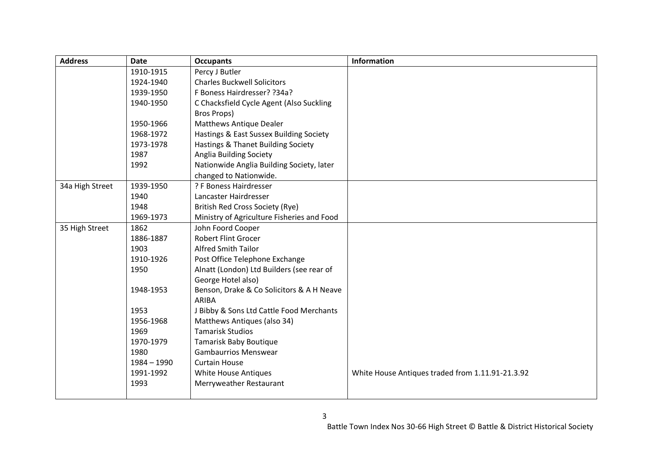| <b>Address</b>  | <b>Date</b>   | <b>Occupants</b>                           | <b>Information</b>                               |
|-----------------|---------------|--------------------------------------------|--------------------------------------------------|
|                 | 1910-1915     | Percy J Butler                             |                                                  |
|                 | 1924-1940     | <b>Charles Buckwell Solicitors</b>         |                                                  |
|                 | 1939-1950     | F Boness Hairdresser? ?34a?                |                                                  |
|                 | 1940-1950     | C Chacksfield Cycle Agent (Also Suckling   |                                                  |
|                 |               | Bros Props)                                |                                                  |
|                 | 1950-1966     | <b>Matthews Antique Dealer</b>             |                                                  |
|                 | 1968-1972     | Hastings & East Sussex Building Society    |                                                  |
|                 | 1973-1978     | Hastings & Thanet Building Society         |                                                  |
|                 | 1987          | Anglia Building Society                    |                                                  |
|                 | 1992          | Nationwide Anglia Building Society, later  |                                                  |
|                 |               | changed to Nationwide.                     |                                                  |
| 34a High Street | 1939-1950     | ? F Boness Hairdresser                     |                                                  |
|                 | 1940          | Lancaster Hairdresser                      |                                                  |
|                 | 1948          | British Red Cross Society (Rye)            |                                                  |
|                 | 1969-1973     | Ministry of Agriculture Fisheries and Food |                                                  |
| 35 High Street  | 1862          | John Foord Cooper                          |                                                  |
|                 | 1886-1887     | <b>Robert Flint Grocer</b>                 |                                                  |
|                 | 1903          | <b>Alfred Smith Tailor</b>                 |                                                  |
|                 | 1910-1926     | Post Office Telephone Exchange             |                                                  |
|                 | 1950          | Alnatt (London) Ltd Builders (see rear of  |                                                  |
|                 |               | George Hotel also)                         |                                                  |
|                 | 1948-1953     | Benson, Drake & Co Solicitors & A H Neave  |                                                  |
|                 |               | ARIBA                                      |                                                  |
|                 | 1953          | J Bibby & Sons Ltd Cattle Food Merchants   |                                                  |
|                 | 1956-1968     | Matthews Antiques (also 34)                |                                                  |
|                 | 1969          | <b>Tamarisk Studios</b>                    |                                                  |
|                 | 1970-1979     | <b>Tamarisk Baby Boutique</b>              |                                                  |
|                 | 1980          | <b>Gambaurrios Menswear</b>                |                                                  |
|                 | $1984 - 1990$ | <b>Curtain House</b>                       |                                                  |
|                 | 1991-1992     | White House Antiques                       | White House Antiques traded from 1.11.91-21.3.92 |
|                 | 1993          | Merryweather Restaurant                    |                                                  |
|                 |               |                                            |                                                  |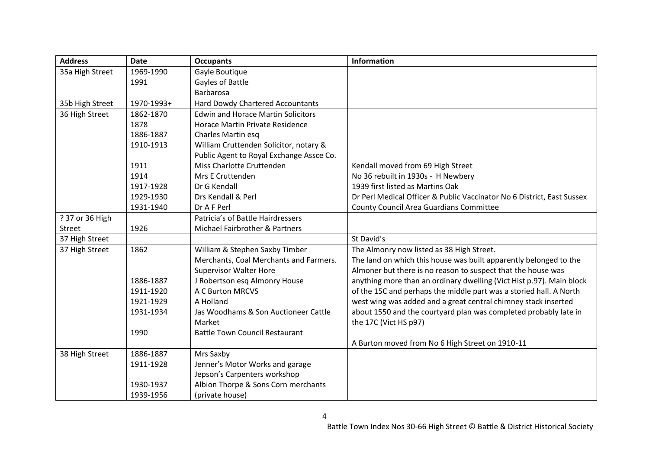| <b>Address</b>  | <b>Date</b> | <b>Occupants</b>                          | <b>Information</b>                                                     |
|-----------------|-------------|-------------------------------------------|------------------------------------------------------------------------|
| 35a High Street | 1969-1990   | Gayle Boutique                            |                                                                        |
|                 | 1991        | Gayles of Battle                          |                                                                        |
|                 |             | <b>Barbarosa</b>                          |                                                                        |
| 35b High Street | 1970-1993+  | <b>Hard Dowdy Chartered Accountants</b>   |                                                                        |
| 36 High Street  | 1862-1870   | <b>Edwin and Horace Martin Solicitors</b> |                                                                        |
|                 | 1878        | Horace Martin Private Residence           |                                                                        |
|                 | 1886-1887   | Charles Martin esq                        |                                                                        |
|                 | 1910-1913   | William Cruttenden Solicitor, notary &    |                                                                        |
|                 |             | Public Agent to Royal Exchange Assce Co.  |                                                                        |
|                 | 1911        | Miss Charlotte Cruttenden                 | Kendall moved from 69 High Street                                      |
|                 | 1914        | Mrs E Cruttenden                          | No 36 rebuilt in 1930s - H Newbery                                     |
|                 | 1917-1928   | Dr G Kendall                              | 1939 first listed as Martins Oak                                       |
|                 | 1929-1930   | Drs Kendall & Perl                        | Dr Perl Medical Officer & Public Vaccinator No 6 District, East Sussex |
|                 | 1931-1940   | Dr A F Perl                               | <b>County Council Area Guardians Committee</b>                         |
| ? 37 or 36 High |             | Patricia's of Battle Hairdressers         |                                                                        |
| Street          | 1926        | Michael Fairbrother & Partners            |                                                                        |
| 37 High Street  |             |                                           | St David's                                                             |
| 37 High Street  | 1862        | William & Stephen Saxby Timber            | The Almonry now listed as 38 High Street.                              |
|                 |             | Merchants, Coal Merchants and Farmers.    | The land on which this house was built apparently belonged to the      |
|                 |             | <b>Supervisor Walter Hore</b>             | Almoner but there is no reason to suspect that the house was           |
|                 | 1886-1887   | J Robertson esq Almonry House             | anything more than an ordinary dwelling (Vict Hist p.97). Main block   |
|                 | 1911-1920   | <b>A C Burton MRCVS</b>                   | of the 15C and perhaps the middle part was a storied hall. A North     |
|                 | 1921-1929   | A Holland                                 | west wing was added and a great central chimney stack inserted         |
|                 | 1931-1934   | Jas Woodhams & Son Auctioneer Cattle      | about 1550 and the courtyard plan was completed probably late in       |
|                 |             | Market                                    | the 17C (Vict HS p97)                                                  |
|                 | 1990        | <b>Battle Town Council Restaurant</b>     |                                                                        |
|                 |             |                                           | A Burton moved from No 6 High Street on 1910-11                        |
| 38 High Street  | 1886-1887   | Mrs Saxby                                 |                                                                        |
|                 | 1911-1928   | Jenner's Motor Works and garage           |                                                                        |
|                 |             | Jepson's Carpenters workshop              |                                                                        |
|                 | 1930-1937   | Albion Thorpe & Sons Corn merchants       |                                                                        |
|                 | 1939-1956   | (private house)                           |                                                                        |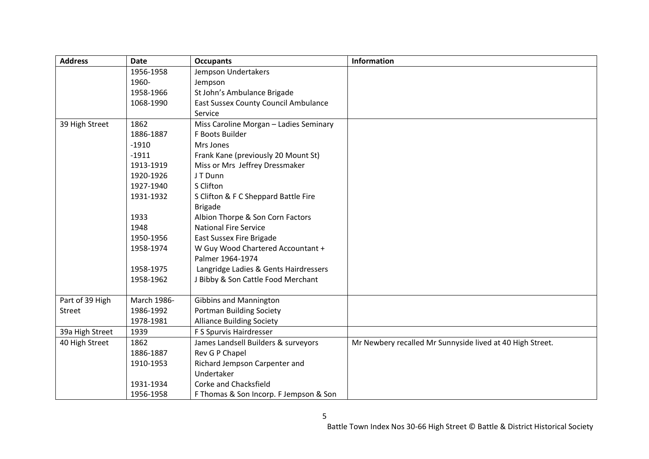| <b>Address</b>  | <b>Date</b> | <b>Occupants</b>                            | <b>Information</b>                                        |
|-----------------|-------------|---------------------------------------------|-----------------------------------------------------------|
|                 | 1956-1958   | Jempson Undertakers                         |                                                           |
|                 | 1960-       | Jempson                                     |                                                           |
|                 | 1958-1966   | St John's Ambulance Brigade                 |                                                           |
|                 | 1068-1990   | <b>East Sussex County Council Ambulance</b> |                                                           |
|                 |             | Service                                     |                                                           |
| 39 High Street  | 1862        | Miss Caroline Morgan - Ladies Seminary      |                                                           |
|                 | 1886-1887   | F Boots Builder                             |                                                           |
|                 | $-1910$     | Mrs Jones                                   |                                                           |
|                 | $-1911$     | Frank Kane (previously 20 Mount St)         |                                                           |
|                 | 1913-1919   | Miss or Mrs Jeffrey Dressmaker              |                                                           |
|                 | 1920-1926   | JT Dunn                                     |                                                           |
|                 | 1927-1940   | S Clifton                                   |                                                           |
|                 | 1931-1932   | S Clifton & F C Sheppard Battle Fire        |                                                           |
|                 |             | <b>Brigade</b>                              |                                                           |
|                 | 1933        | Albion Thorpe & Son Corn Factors            |                                                           |
|                 | 1948        | <b>National Fire Service</b>                |                                                           |
|                 | 1950-1956   | <b>East Sussex Fire Brigade</b>             |                                                           |
|                 | 1958-1974   | W Guy Wood Chartered Accountant +           |                                                           |
|                 |             | Palmer 1964-1974                            |                                                           |
|                 | 1958-1975   | Langridge Ladies & Gents Hairdressers       |                                                           |
|                 | 1958-1962   | J Bibby & Son Cattle Food Merchant          |                                                           |
|                 |             |                                             |                                                           |
| Part of 39 High | March 1986- | <b>Gibbins and Mannington</b>               |                                                           |
| Street          | 1986-1992   | <b>Portman Building Society</b>             |                                                           |
|                 | 1978-1981   | <b>Alliance Building Society</b>            |                                                           |
| 39a High Street | 1939        | F S Spurvis Hairdresser                     |                                                           |
| 40 High Street  | 1862        | James Landsell Builders & surveyors         | Mr Newbery recalled Mr Sunnyside lived at 40 High Street. |
|                 | 1886-1887   | Rev G P Chapel                              |                                                           |
|                 | 1910-1953   | Richard Jempson Carpenter and               |                                                           |
|                 |             | Undertaker                                  |                                                           |
|                 | 1931-1934   | Corke and Chacksfield                       |                                                           |
|                 | 1956-1958   | F Thomas & Son Incorp. F Jempson & Son      |                                                           |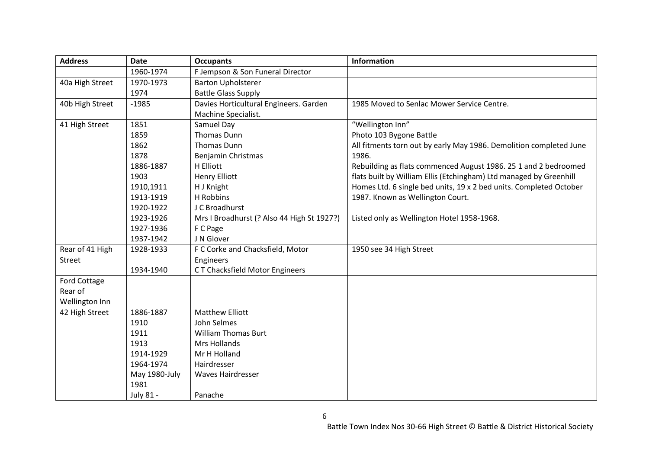| <b>Address</b>  | <b>Date</b>   | <b>Occupants</b>                           | <b>Information</b>                                                 |
|-----------------|---------------|--------------------------------------------|--------------------------------------------------------------------|
|                 | 1960-1974     | F Jempson & Son Funeral Director           |                                                                    |
| 40a High Street | 1970-1973     | <b>Barton Upholsterer</b>                  |                                                                    |
|                 | 1974          | <b>Battle Glass Supply</b>                 |                                                                    |
| 40b High Street | $-1985$       | Davies Horticultural Engineers. Garden     | 1985 Moved to Senlac Mower Service Centre.                         |
|                 |               | Machine Specialist.                        |                                                                    |
| 41 High Street  | 1851          | Samuel Day                                 | "Wellington Inn"                                                   |
|                 | 1859          | <b>Thomas Dunn</b>                         | Photo 103 Bygone Battle                                            |
|                 | 1862          | <b>Thomas Dunn</b>                         | All fitments torn out by early May 1986. Demolition completed June |
|                 | 1878          | Benjamin Christmas                         | 1986.                                                              |
|                 | 1886-1887     | H Elliott                                  | Rebuilding as flats commenced August 1986. 25 1 and 2 bedroomed    |
|                 | 1903          | <b>Henry Elliott</b>                       | flats built by William Ellis (Etchingham) Ltd managed by Greenhill |
|                 | 1910,1911     | H J Knight                                 | Homes Ltd. 6 single bed units, 19 x 2 bed units. Completed October |
|                 | 1913-1919     | H Robbins                                  | 1987. Known as Wellington Court.                                   |
|                 | 1920-1922     | J C Broadhurst                             |                                                                    |
|                 | 1923-1926     | Mrs I Broadhurst (? Also 44 High St 1927?) | Listed only as Wellington Hotel 1958-1968.                         |
|                 | 1927-1936     | F C Page                                   |                                                                    |
|                 | 1937-1942     | J N Glover                                 |                                                                    |
| Rear of 41 High | 1928-1933     | F C Corke and Chacksfield, Motor           | 1950 see 34 High Street                                            |
| Street          |               | Engineers                                  |                                                                    |
|                 | 1934-1940     | CT Chacksfield Motor Engineers             |                                                                    |
| Ford Cottage    |               |                                            |                                                                    |
| Rear of         |               |                                            |                                                                    |
| Wellington Inn  |               |                                            |                                                                    |
| 42 High Street  | 1886-1887     | <b>Matthew Elliott</b>                     |                                                                    |
|                 | 1910          | John Selmes                                |                                                                    |
|                 | 1911          | <b>William Thomas Burt</b>                 |                                                                    |
|                 | 1913          | <b>Mrs Hollands</b>                        |                                                                    |
|                 | 1914-1929     | Mr H Holland                               |                                                                    |
|                 | 1964-1974     | Hairdresser                                |                                                                    |
|                 | May 1980-July | Waves Hairdresser                          |                                                                    |
|                 | 1981          |                                            |                                                                    |
|                 | July 81 -     | Panache                                    |                                                                    |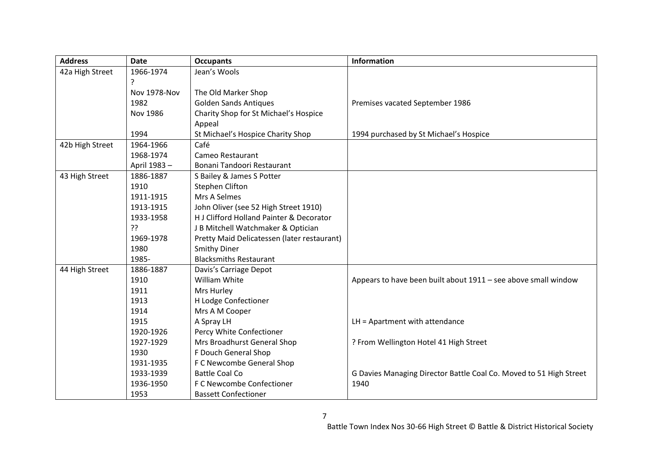| <b>Address</b>  | <b>Date</b>         | <b>Occupants</b>                            | <b>Information</b>                                                 |
|-----------------|---------------------|---------------------------------------------|--------------------------------------------------------------------|
| 42a High Street | 1966-1974           | Jean's Wools                                |                                                                    |
|                 | ?                   |                                             |                                                                    |
|                 | <b>Nov 1978-Nov</b> | The Old Marker Shop                         |                                                                    |
|                 | 1982                | <b>Golden Sands Antiques</b>                | Premises vacated September 1986                                    |
|                 | Nov 1986            | Charity Shop for St Michael's Hospice       |                                                                    |
|                 |                     | Appeal                                      |                                                                    |
|                 | 1994                | St Michael's Hospice Charity Shop           | 1994 purchased by St Michael's Hospice                             |
| 42b High Street | 1964-1966           | Café                                        |                                                                    |
|                 | 1968-1974           | Cameo Restaurant                            |                                                                    |
|                 | April 1983-         | Bonani Tandoori Restaurant                  |                                                                    |
| 43 High Street  | 1886-1887           | S Bailey & James S Potter                   |                                                                    |
|                 | 1910                | <b>Stephen Clifton</b>                      |                                                                    |
|                 | 1911-1915           | Mrs A Selmes                                |                                                                    |
|                 | 1913-1915           | John Oliver (see 52 High Street 1910)       |                                                                    |
|                 | 1933-1958           | H J Clifford Holland Painter & Decorator    |                                                                    |
|                 | ַיִּ                | J B Mitchell Watchmaker & Optician          |                                                                    |
|                 | 1969-1978           | Pretty Maid Delicatessen (later restaurant) |                                                                    |
|                 | 1980                | <b>Smithy Diner</b>                         |                                                                    |
|                 | 1985-               | <b>Blacksmiths Restaurant</b>               |                                                                    |
| 44 High Street  | 1886-1887           | Davis's Carriage Depot                      |                                                                    |
|                 | 1910                | William White                               | Appears to have been built about 1911 - see above small window     |
|                 | 1911                | Mrs Hurley                                  |                                                                    |
|                 | 1913                | H Lodge Confectioner                        |                                                                    |
|                 | 1914                | Mrs A M Cooper                              |                                                                    |
|                 | 1915                | A Spray LH                                  | $LH =$ Apartment with attendance                                   |
|                 | 1920-1926           | Percy White Confectioner                    |                                                                    |
|                 | 1927-1929           | Mrs Broadhurst General Shop                 | ? From Wellington Hotel 41 High Street                             |
|                 | 1930                | F Douch General Shop                        |                                                                    |
|                 | 1931-1935           | F C Newcombe General Shop                   |                                                                    |
|                 | 1933-1939           | <b>Battle Coal Co</b>                       | G Davies Managing Director Battle Coal Co. Moved to 51 High Street |
|                 | 1936-1950           | F C Newcombe Confectioner                   | 1940                                                               |
|                 | 1953                | <b>Bassett Confectioner</b>                 |                                                                    |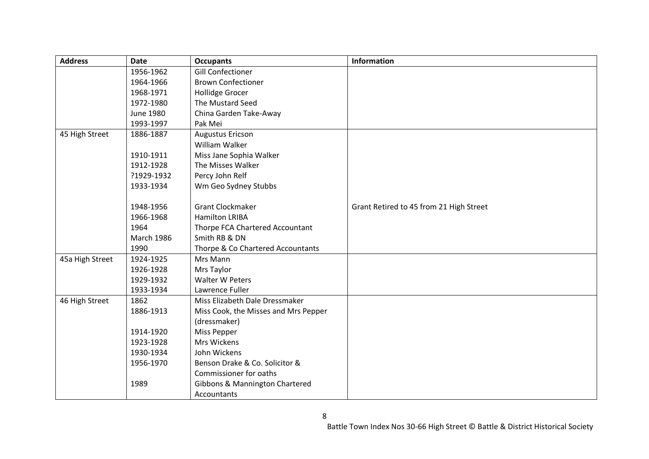| <b>Address</b>  | <b>Date</b>       | <b>Occupants</b>                     | <b>Information</b>                      |
|-----------------|-------------------|--------------------------------------|-----------------------------------------|
|                 | 1956-1962         | <b>Gill Confectioner</b>             |                                         |
|                 | 1964-1966         | <b>Brown Confectioner</b>            |                                         |
|                 | 1968-1971         | <b>Hollidge Grocer</b>               |                                         |
|                 | 1972-1980         | The Mustard Seed                     |                                         |
|                 | June 1980         | China Garden Take-Away               |                                         |
|                 | 1993-1997         | Pak Mei                              |                                         |
| 45 High Street  | 1886-1887         | <b>Augustus Ericson</b>              |                                         |
|                 |                   | William Walker                       |                                         |
|                 | 1910-1911         | Miss Jane Sophia Walker              |                                         |
|                 | 1912-1928         | The Misses Walker                    |                                         |
|                 | ?1929-1932        | Percy John Relf                      |                                         |
|                 | 1933-1934         | Wm Geo Sydney Stubbs                 |                                         |
|                 |                   |                                      |                                         |
|                 | 1948-1956         | <b>Grant Clockmaker</b>              | Grant Retired to 45 from 21 High Street |
|                 | 1966-1968         | <b>Hamilton LRIBA</b>                |                                         |
|                 | 1964              | Thorpe FCA Chartered Accountant      |                                         |
|                 | <b>March 1986</b> | Smith RB & DN                        |                                         |
|                 | 1990              | Thorpe & Co Chartered Accountants    |                                         |
| 45a High Street | 1924-1925         | Mrs Mann                             |                                         |
|                 | 1926-1928         | Mrs Taylor                           |                                         |
|                 | 1929-1932         | Walter W Peters                      |                                         |
|                 | 1933-1934         | Lawrence Fuller                      |                                         |
| 46 High Street  | 1862              | Miss Elizabeth Dale Dressmaker       |                                         |
|                 | 1886-1913         | Miss Cook, the Misses and Mrs Pepper |                                         |
|                 |                   | (dressmaker)                         |                                         |
|                 | 1914-1920         | Miss Pepper                          |                                         |
|                 | 1923-1928         | Mrs Wickens                          |                                         |
|                 | 1930-1934         | John Wickens                         |                                         |
|                 | 1956-1970         | Benson Drake & Co. Solicitor &       |                                         |
|                 |                   | Commissioner for oaths               |                                         |
|                 | 1989              | Gibbons & Mannington Chartered       |                                         |
|                 |                   | Accountants                          |                                         |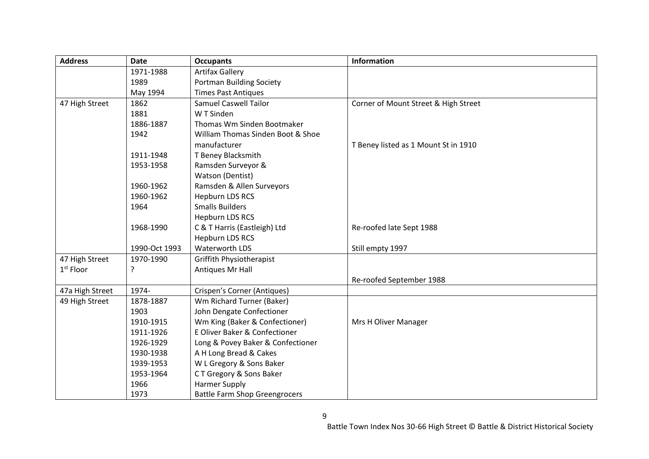| <b>Address</b>  | <b>Date</b>   | <b>Occupants</b>                     | Information                          |
|-----------------|---------------|--------------------------------------|--------------------------------------|
|                 | 1971-1988     | <b>Artifax Gallery</b>               |                                      |
|                 | 1989          | Portman Building Society             |                                      |
|                 | May 1994      | <b>Times Past Antiques</b>           |                                      |
| 47 High Street  | 1862          | <b>Samuel Caswell Tailor</b>         | Corner of Mount Street & High Street |
|                 | 1881          | W T Sinden                           |                                      |
|                 | 1886-1887     | Thomas Wm Sinden Bootmaker           |                                      |
|                 | 1942          | William Thomas Sinden Boot & Shoe    |                                      |
|                 |               | manufacturer                         | T Beney listed as 1 Mount St in 1910 |
|                 | 1911-1948     | T Beney Blacksmith                   |                                      |
|                 | 1953-1958     | Ramsden Surveyor &                   |                                      |
|                 |               | <b>Watson (Dentist)</b>              |                                      |
|                 | 1960-1962     | Ramsden & Allen Surveyors            |                                      |
|                 | 1960-1962     | <b>Hepburn LDS RCS</b>               |                                      |
|                 | 1964          | <b>Smalls Builders</b>               |                                      |
|                 |               | <b>Hepburn LDS RCS</b>               |                                      |
|                 | 1968-1990     | C & T Harris (Eastleigh) Ltd         | Re-roofed late Sept 1988             |
|                 |               | <b>Hepburn LDS RCS</b>               |                                      |
|                 | 1990-Oct 1993 | Waterworth LDS                       | Still empty 1997                     |
| 47 High Street  | 1970-1990     | Griffith Physiotherapist             |                                      |
| $1st$ Floor     | ?             | Antiques Mr Hall                     |                                      |
|                 |               |                                      | Re-roofed September 1988             |
| 47a High Street | 1974-         | Crispen's Corner (Antiques)          |                                      |
| 49 High Street  | 1878-1887     | Wm Richard Turner (Baker)            |                                      |
|                 | 1903          | John Dengate Confectioner            |                                      |
|                 | 1910-1915     | Wm King (Baker & Confectioner)       | Mrs H Oliver Manager                 |
|                 | 1911-1926     | E Oliver Baker & Confectioner        |                                      |
|                 | 1926-1929     | Long & Povey Baker & Confectioner    |                                      |
|                 | 1930-1938     | A H Long Bread & Cakes               |                                      |
|                 | 1939-1953     | W L Gregory & Sons Baker             |                                      |
|                 | 1953-1964     | CT Gregory & Sons Baker              |                                      |
|                 | 1966          | <b>Harmer Supply</b>                 |                                      |
|                 | 1973          | <b>Battle Farm Shop Greengrocers</b> |                                      |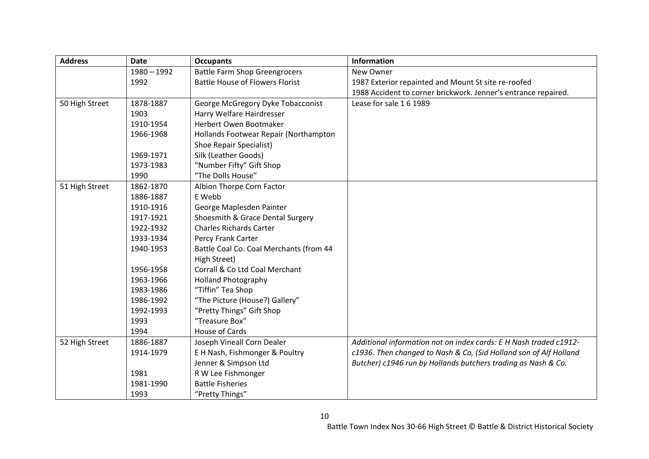| <b>Address</b> | <b>Date</b>   | <b>Occupants</b>                        | <b>Information</b>                                                |
|----------------|---------------|-----------------------------------------|-------------------------------------------------------------------|
|                | $1980 - 1992$ | <b>Battle Farm Shop Greengrocers</b>    | New Owner                                                         |
|                | 1992          | <b>Battle House of Flowers Florist</b>  | 1987 Exterior repainted and Mount St site re-roofed               |
|                |               |                                         | 1988 Accident to corner brickwork. Jenner's entrance repaired.    |
| 50 High Street | 1878-1887     | George McGregory Dyke Tobacconist       | Lease for sale 1 6 1989                                           |
|                | 1903          | Harry Welfare Hairdresser               |                                                                   |
|                | 1910-1954     | Herbert Owen Bootmaker                  |                                                                   |
|                | 1966-1968     | Hollands Footwear Repair (Northampton   |                                                                   |
|                |               | <b>Shoe Repair Specialist)</b>          |                                                                   |
|                | 1969-1971     | Silk (Leather Goods)                    |                                                                   |
|                | 1973-1983     | "Number Fifty" Gift Shop                |                                                                   |
|                | 1990          | "The Dolls House"                       |                                                                   |
| 51 High Street | 1862-1870     | Albion Thorpe Corn Factor               |                                                                   |
|                | 1886-1887     | E Webb                                  |                                                                   |
|                | 1910-1916     | George Maplesden Painter                |                                                                   |
|                | 1917-1921     | Shoesmith & Grace Dental Surgery        |                                                                   |
|                | 1922-1932     | <b>Charles Richards Carter</b>          |                                                                   |
|                | 1933-1934     | Percy Frank Carter                      |                                                                   |
|                | 1940-1953     | Battle Coal Co. Coal Merchants (from 44 |                                                                   |
|                |               | High Street)                            |                                                                   |
|                | 1956-1958     | Corrall & Co Ltd Coal Merchant          |                                                                   |
|                | 1963-1966     | <b>Holland Photography</b>              |                                                                   |
|                | 1983-1986     | "Tiffin" Tea Shop                       |                                                                   |
|                | 1986-1992     | "The Picture (House?) Gallery"          |                                                                   |
|                | 1992-1993     | "Pretty Things" Gift Shop               |                                                                   |
|                | 1993          | "Treasure Box"                          |                                                                   |
|                | 1994          | House of Cards                          |                                                                   |
| 52 High Street | 1886-1887     | Joseph Vineall Corn Dealer              | Additional information not on index cards: E H Nash traded c1912- |
|                | 1914-1979     | E H Nash, Fishmonger & Poultry          | c1936. Then changed to Nash & Co, (Sid Holland son of Alf Holland |
|                |               | Jenner & Simpson Ltd                    | Butcher) c1946 run by Hollands butchers trading as Nash & Co.     |
|                | 1981          | R W Lee Fishmonger                      |                                                                   |
|                | 1981-1990     | <b>Battle Fisheries</b>                 |                                                                   |
|                | 1993          | "Pretty Things"                         |                                                                   |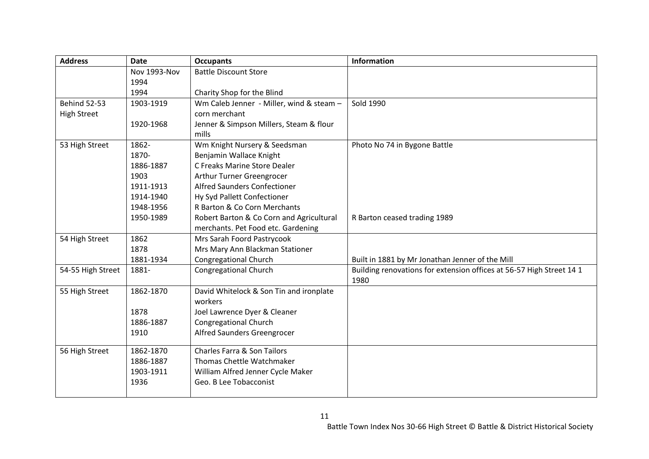| <b>Address</b>      | <b>Date</b>  | <b>Occupants</b>                         | <b>Information</b>                                                   |
|---------------------|--------------|------------------------------------------|----------------------------------------------------------------------|
|                     | Nov 1993-Nov | <b>Battle Discount Store</b>             |                                                                      |
|                     | 1994         |                                          |                                                                      |
|                     | 1994         | Charity Shop for the Blind               |                                                                      |
| <b>Behind 52-53</b> | 1903-1919    | Wm Caleb Jenner - Miller, wind & steam - | Sold 1990                                                            |
| <b>High Street</b>  |              | corn merchant                            |                                                                      |
|                     | 1920-1968    | Jenner & Simpson Millers, Steam & flour  |                                                                      |
|                     |              | mills                                    |                                                                      |
| 53 High Street      | 1862-        | Wm Knight Nursery & Seedsman             | Photo No 74 in Bygone Battle                                         |
|                     | 1870-        | Benjamin Wallace Knight                  |                                                                      |
|                     | 1886-1887    | C Freaks Marine Store Dealer             |                                                                      |
|                     | 1903         | Arthur Turner Greengrocer                |                                                                      |
|                     | 1911-1913    | Alfred Saunders Confectioner             |                                                                      |
|                     | 1914-1940    | Hy Syd Pallett Confectioner              |                                                                      |
|                     | 1948-1956    | R Barton & Co Corn Merchants             |                                                                      |
|                     | 1950-1989    | Robert Barton & Co Corn and Agricultural | R Barton ceased trading 1989                                         |
|                     |              | merchants. Pet Food etc. Gardening       |                                                                      |
| 54 High Street      | 1862         | Mrs Sarah Foord Pastrycook               |                                                                      |
|                     | 1878         | Mrs Mary Ann Blackman Stationer          |                                                                      |
|                     | 1881-1934    | <b>Congregational Church</b>             | Built in 1881 by Mr Jonathan Jenner of the Mill                      |
| 54-55 High Street   | 1881-        | <b>Congregational Church</b>             | Building renovations for extension offices at 56-57 High Street 14 1 |
|                     |              |                                          | 1980                                                                 |
| 55 High Street      | 1862-1870    | David Whitelock & Son Tin and ironplate  |                                                                      |
|                     |              | workers                                  |                                                                      |
|                     | 1878         | Joel Lawrence Dyer & Cleaner             |                                                                      |
|                     | 1886-1887    | <b>Congregational Church</b>             |                                                                      |
|                     | 1910         | Alfred Saunders Greengrocer              |                                                                      |
| 56 High Street      | 1862-1870    | Charles Farra & Son Tailors              |                                                                      |
|                     | 1886-1887    | Thomas Chettle Watchmaker                |                                                                      |
|                     | 1903-1911    | William Alfred Jenner Cycle Maker        |                                                                      |
|                     | 1936         | Geo. B Lee Tobacconist                   |                                                                      |
|                     |              |                                          |                                                                      |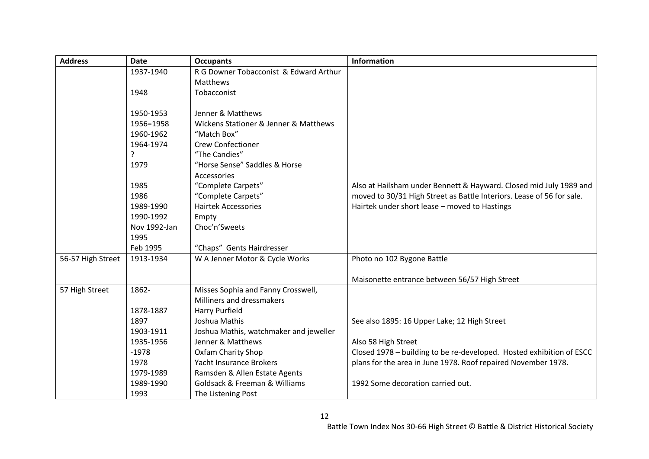| <b>Address</b>    | <b>Date</b>  | <b>Occupants</b>                             | Information                                                           |
|-------------------|--------------|----------------------------------------------|-----------------------------------------------------------------------|
|                   | 1937-1940    | R G Downer Tobacconist & Edward Arthur       |                                                                       |
|                   |              | Matthews                                     |                                                                       |
|                   | 1948         | Tobacconist                                  |                                                                       |
|                   |              |                                              |                                                                       |
|                   | 1950-1953    | Jenner & Matthews                            |                                                                       |
|                   | 1956=1958    | Wickens Stationer & Jenner & Matthews        |                                                                       |
|                   | 1960-1962    | "Match Box"                                  |                                                                       |
|                   | 1964-1974    | <b>Crew Confectioner</b>                     |                                                                       |
|                   | ?            | "The Candies"                                |                                                                       |
|                   | 1979         | "Horse Sense" Saddles & Horse                |                                                                       |
|                   |              | Accessories                                  |                                                                       |
|                   | 1985         | "Complete Carpets"                           | Also at Hailsham under Bennett & Hayward. Closed mid July 1989 and    |
|                   | 1986         | "Complete Carpets"                           | moved to 30/31 High Street as Battle Interiors. Lease of 56 for sale. |
|                   | 1989-1990    | <b>Hairtek Accessories</b>                   | Hairtek under short lease - moved to Hastings                         |
|                   | 1990-1992    | Empty                                        |                                                                       |
|                   | Nov 1992-Jan | Choc'n'Sweets                                |                                                                       |
|                   | 1995         |                                              |                                                                       |
|                   | Feb 1995     | "Chaps" Gents Hairdresser                    |                                                                       |
| 56-57 High Street | 1913-1934    | W A Jenner Motor & Cycle Works               | Photo no 102 Bygone Battle                                            |
|                   |              |                                              |                                                                       |
|                   |              |                                              | Maisonette entrance between 56/57 High Street                         |
| 57 High Street    | 1862-        | Misses Sophia and Fanny Crosswell,           |                                                                       |
|                   |              | Milliners and dressmakers                    |                                                                       |
|                   | 1878-1887    | Harry Purfield                               |                                                                       |
|                   | 1897         | Joshua Mathis                                | See also 1895: 16 Upper Lake; 12 High Street                          |
|                   | 1903-1911    | Joshua Mathis, watchmaker and jeweller       |                                                                       |
|                   | 1935-1956    | Jenner & Matthews                            | Also 58 High Street                                                   |
|                   | $-1978$      | <b>Oxfam Charity Shop</b>                    | Closed 1978 - building to be re-developed. Hosted exhibition of ESCC  |
|                   | 1978         | Yacht Insurance Brokers                      | plans for the area in June 1978. Roof repaired November 1978.         |
|                   | 1979-1989    | Ramsden & Allen Estate Agents                |                                                                       |
|                   | 1989-1990    | <b>Goldsack &amp; Freeman &amp; Williams</b> | 1992 Some decoration carried out.                                     |
|                   | 1993         | The Listening Post                           |                                                                       |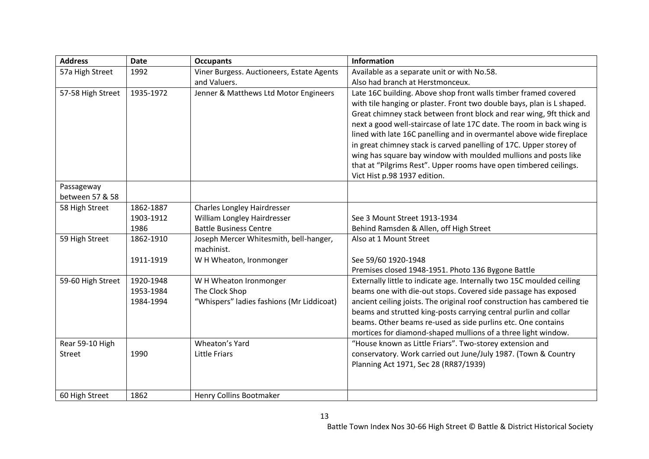| <b>Address</b>                   | <b>Date</b>                         | <b>Occupants</b>                                                                            | <b>Information</b>                                                                                                                                                                                                                                                                                                                                                                                                                                                                                                                                                                                               |
|----------------------------------|-------------------------------------|---------------------------------------------------------------------------------------------|------------------------------------------------------------------------------------------------------------------------------------------------------------------------------------------------------------------------------------------------------------------------------------------------------------------------------------------------------------------------------------------------------------------------------------------------------------------------------------------------------------------------------------------------------------------------------------------------------------------|
| 57a High Street                  | 1992                                | Viner Burgess. Auctioneers, Estate Agents                                                   | Available as a separate unit or with No.58.                                                                                                                                                                                                                                                                                                                                                                                                                                                                                                                                                                      |
|                                  |                                     | and Valuers.                                                                                | Also had branch at Herstmonceux.                                                                                                                                                                                                                                                                                                                                                                                                                                                                                                                                                                                 |
| 57-58 High Street                | 1935-1972                           | Jenner & Matthews Ltd Motor Engineers                                                       | Late 16C building. Above shop front walls timber framed covered<br>with tile hanging or plaster. Front two double bays, plan is L shaped.<br>Great chimney stack between front block and rear wing, 9ft thick and<br>next a good well-staircase of late 17C date. The room in back wing is<br>lined with late 16C panelling and in overmantel above wide fireplace<br>in great chimney stack is carved panelling of 17C. Upper storey of<br>wing has square bay window with moulded mullions and posts like<br>that at "Pilgrims Rest". Upper rooms have open timbered ceilings.<br>Vict Hist p.98 1937 edition. |
| Passageway                       |                                     |                                                                                             |                                                                                                                                                                                                                                                                                                                                                                                                                                                                                                                                                                                                                  |
| between 57 & 58                  |                                     |                                                                                             |                                                                                                                                                                                                                                                                                                                                                                                                                                                                                                                                                                                                                  |
| 58 High Street                   | 1862-1887<br>1903-1912<br>1986      | Charles Longley Hairdresser<br>William Longley Hairdresser<br><b>Battle Business Centre</b> | See 3 Mount Street 1913-1934<br>Behind Ramsden & Allen, off High Street                                                                                                                                                                                                                                                                                                                                                                                                                                                                                                                                          |
| 59 High Street                   | 1862-1910                           | Joseph Mercer Whitesmith, bell-hanger,<br>machinist.                                        | Also at 1 Mount Street                                                                                                                                                                                                                                                                                                                                                                                                                                                                                                                                                                                           |
|                                  | 1911-1919                           | W H Wheaton, Ironmonger                                                                     | See 59/60 1920-1948<br>Premises closed 1948-1951. Photo 136 Bygone Battle                                                                                                                                                                                                                                                                                                                                                                                                                                                                                                                                        |
| 59-60 High Street                | 1920-1948<br>1953-1984<br>1984-1994 | W H Wheaton Ironmonger<br>The Clock Shop<br>"Whispers" ladies fashions (Mr Liddicoat)       | Externally little to indicate age. Internally two 15C moulded ceiling<br>beams one with die-out stops. Covered side passage has exposed<br>ancient ceiling joists. The original roof construction has cambered tie<br>beams and strutted king-posts carrying central purlin and collar<br>beams. Other beams re-used as side purlins etc. One contains<br>mortices for diamond-shaped mullions of a three light window.                                                                                                                                                                                          |
| Rear 59-10 High<br><b>Street</b> | 1990                                | Wheaton's Yard<br><b>Little Friars</b>                                                      | "House known as Little Friars". Two-storey extension and<br>conservatory. Work carried out June/July 1987. (Town & Country<br>Planning Act 1971, Sec 28 (RR87/1939)                                                                                                                                                                                                                                                                                                                                                                                                                                              |
| 60 High Street                   | 1862                                | Henry Collins Bootmaker                                                                     |                                                                                                                                                                                                                                                                                                                                                                                                                                                                                                                                                                                                                  |